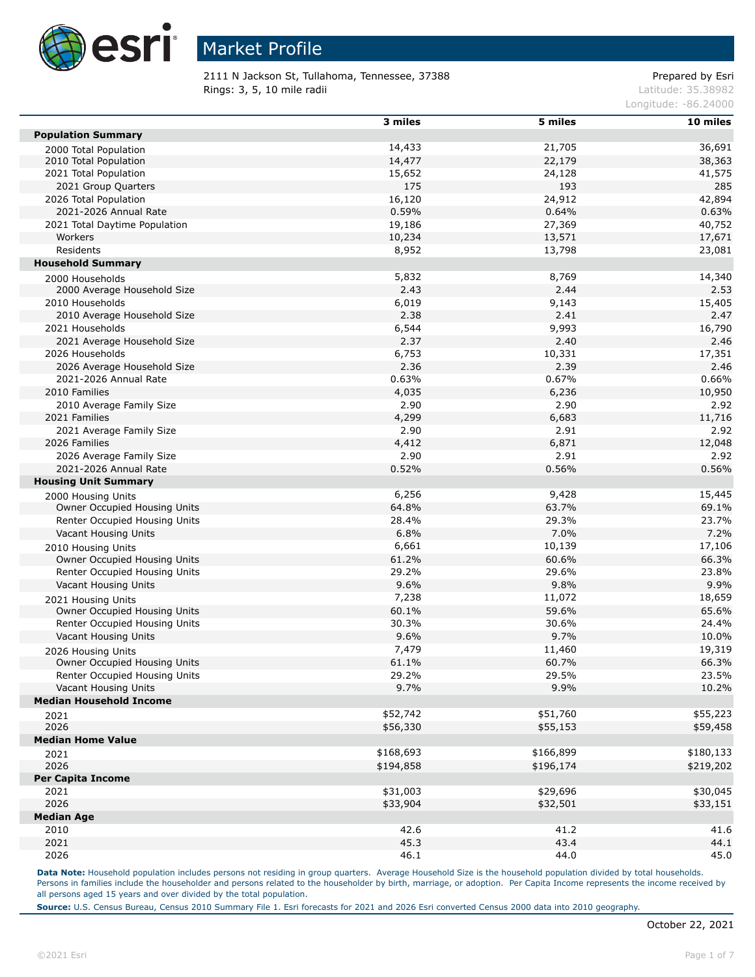

2111 N Jackson St, Tullahoma, Tennessee, 37388 extending the prepared by Esri **Rings: 3, 5, 10 mile radii**  $\blacksquare$  **Rings: 3, 5, 10 mile radii**  $\blacksquare$ 

Longitude: -86.24000

|                                | 3 miles   | 5 miles   | 10 miles       |
|--------------------------------|-----------|-----------|----------------|
| <b>Population Summary</b>      |           |           |                |
| 2000 Total Population          | 14,433    | 21,705    | 36,691         |
| 2010 Total Population          | 14,477    | 22,179    | 38,363         |
| 2021 Total Population          | 15,652    | 24,128    | 41,575         |
| 2021 Group Quarters            | 175       | 193       | 285            |
| 2026 Total Population          | 16,120    | 24,912    | 42,894         |
| 2021-2026 Annual Rate          | 0.59%     | 0.64%     | 0.63%          |
| 2021 Total Daytime Population  | 19,186    | 27,369    | 40,752         |
| Workers                        | 10,234    | 13,571    | 17,671         |
| Residents                      | 8,952     | 13,798    | 23,081         |
| <b>Household Summary</b>       |           |           |                |
| 2000 Households                | 5,832     | 8,769     | 14,340         |
| 2000 Average Household Size    | 2.43      | 2.44      | 2.53           |
| 2010 Households                | 6,019     | 9,143     | 15,405         |
| 2010 Average Household Size    | 2.38      | 2.41      | 2.47           |
| 2021 Households                | 6,544     | 9,993     | 16,790         |
| 2021 Average Household Size    | 2.37      | 2.40      | 2.46           |
| 2026 Households                | 6,753     | 10,331    | 17,351         |
| 2026 Average Household Size    | 2.36      | 2.39      | 2.46           |
| 2021-2026 Annual Rate          | 0.63%     | 0.67%     | 0.66%          |
| 2010 Families                  | 4,035     | 6,236     | 10,950         |
| 2010 Average Family Size       | 2.90      | 2.90      | 2.92           |
| 2021 Families                  | 4,299     | 6,683     | 11,716         |
| 2021 Average Family Size       | 2.90      | 2.91      | 2.92           |
| 2026 Families                  | 4,412     | 6,871     |                |
| 2026 Average Family Size       | 2.90      | 2.91      | 12,048<br>2.92 |
| 2021-2026 Annual Rate          | 0.52%     | 0.56%     | 0.56%          |
|                                |           |           |                |
| <b>Housing Unit Summary</b>    |           |           |                |
| 2000 Housing Units             | 6,256     | 9,428     | 15,445         |
| Owner Occupied Housing Units   | 64.8%     | 63.7%     | 69.1%          |
| Renter Occupied Housing Units  | 28.4%     | 29.3%     | 23.7%          |
| Vacant Housing Units           | 6.8%      | 7.0%      | 7.2%           |
| 2010 Housing Units             | 6,661     | 10,139    | 17,106         |
| Owner Occupied Housing Units   | 61.2%     | 60.6%     | 66.3%          |
| Renter Occupied Housing Units  | 29.2%     | 29.6%     | 23.8%          |
| Vacant Housing Units           | 9.6%      | 9.8%      | 9.9%           |
| 2021 Housing Units             | 7,238     | 11,072    | 18,659         |
| Owner Occupied Housing Units   | 60.1%     | 59.6%     | 65.6%          |
| Renter Occupied Housing Units  | 30.3%     | 30.6%     | 24.4%          |
| Vacant Housing Units           | 9.6%      | 9.7%      | 10.0%          |
| 2026 Housing Units             | 7,479     | 11,460    | 19,319         |
| Owner Occupied Housing Units   | 61.1%     | 60.7%     | 66.3%          |
| Renter Occupied Housing Units  | 29.2%     | 29.5%     | 23.5%          |
| Vacant Housing Units           | 9.7%      | 9.9%      | 10.2%          |
| <b>Median Household Income</b> |           |           |                |
| 2021                           | \$52,742  | \$51,760  | \$55,223       |
| 2026                           | \$56,330  | \$55,153  | \$59,458       |
| <b>Median Home Value</b>       |           |           |                |
| 2021                           | \$168,693 | \$166,899 | \$180,133      |
| 2026                           | \$194,858 | \$196,174 | \$219,202      |
| <b>Per Capita Income</b>       |           |           |                |
| 2021                           | \$31,003  | \$29,696  | \$30,045       |
| 2026                           | \$33,904  | \$32,501  | \$33,151       |
| <b>Median Age</b>              |           |           |                |
| 2010                           | 42.6      | 41.2      | 41.6           |
| 2021                           | 45.3      | 43.4      | 44.1           |
| 2026                           | 46.1      | 44.0      | 45.0           |
|                                |           |           |                |

Data Note: Household population includes persons not residing in group quarters. Average Household Size is the household population divided by total households. Persons in families include the householder and persons related to the householder by birth, marriage, or adoption. Per Capita Income represents the income received by all persons aged 15 years and over divided by the total population.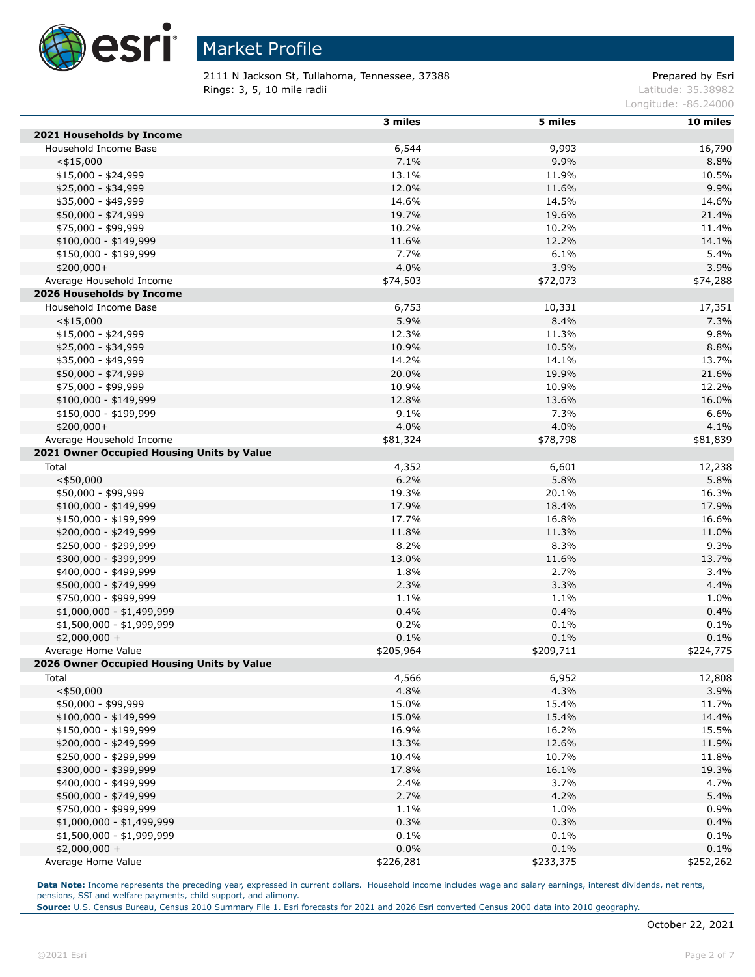

2111 N Jackson St, Tullahoma, Tennessee, 37388 extending the prepared by Esri **Rings: 3, 5, 10 mile radii**  $\blacksquare$  **Rings: 3, 5, 10 mile radii**  $\blacksquare$ 

Longitude: -86.24000

|                                            | 3 miles   | 5 miles   | 10 miles  |
|--------------------------------------------|-----------|-----------|-----------|
| 2021 Households by Income                  |           |           |           |
| Household Income Base                      | 6,544     | 9,993     | 16,790    |
| $<$ \$15,000                               | 7.1%      | 9.9%      | 8.8%      |
| $$15,000 - $24,999$                        | 13.1%     | 11.9%     | 10.5%     |
| \$25,000 - \$34,999                        | 12.0%     | 11.6%     | 9.9%      |
| \$35,000 - \$49,999                        | 14.6%     | 14.5%     | 14.6%     |
| \$50,000 - \$74,999                        | 19.7%     | 19.6%     | 21.4%     |
| \$75,000 - \$99,999                        | 10.2%     | 10.2%     | 11.4%     |
| $$100,000 - $149,999$                      | 11.6%     | 12.2%     | 14.1%     |
| \$150,000 - \$199,999                      | 7.7%      | 6.1%      | 5.4%      |
| $$200,000+$                                | 4.0%      | 3.9%      | 3.9%      |
| Average Household Income                   | \$74,503  | \$72,073  | \$74,288  |
| 2026 Households by Income                  |           |           |           |
| Household Income Base                      | 6,753     | 10,331    | 17,351    |
| $<$ \$15,000                               | 5.9%      | 8.4%      | 7.3%      |
| $$15,000 - $24,999$                        | 12.3%     | 11.3%     | 9.8%      |
| \$25,000 - \$34,999                        | 10.9%     | 10.5%     | 8.8%      |
| \$35,000 - \$49,999                        | 14.2%     | 14.1%     | 13.7%     |
| \$50,000 - \$74,999                        | 20.0%     | 19.9%     | 21.6%     |
| \$75,000 - \$99,999                        | 10.9%     | 10.9%     | 12.2%     |
| $$100,000 - $149,999$                      | 12.8%     | 13.6%     | 16.0%     |
| \$150,000 - \$199,999                      | 9.1%      | 7.3%      | 6.6%      |
| \$200,000+                                 | 4.0%      | 4.0%      | 4.1%      |
| Average Household Income                   | \$81,324  | \$78,798  | \$81,839  |
| 2021 Owner Occupied Housing Units by Value |           |           |           |
| Total                                      | 4,352     | 6,601     | 12,238    |
| $<$ \$50,000                               | 6.2%      | 5.8%      | 5.8%      |
| \$50,000 - \$99,999                        | 19.3%     | 20.1%     | 16.3%     |
| $$100,000 - $149,999$                      | 17.9%     | 18.4%     | 17.9%     |
| \$150,000 - \$199,999                      | 17.7%     | 16.8%     | 16.6%     |
| \$200,000 - \$249,999                      | 11.8%     | 11.3%     | 11.0%     |
| \$250,000 - \$299,999                      | 8.2%      | 8.3%      | 9.3%      |
| \$300,000 - \$399,999                      | 13.0%     | 11.6%     | 13.7%     |
| \$400,000 - \$499,999                      | 1.8%      | 2.7%      | 3.4%      |
| \$500,000 - \$749,999                      | 2.3%      | 3.3%      | 4.4%      |
| \$750,000 - \$999,999                      | 1.1%      | 1.1%      | 1.0%      |
| \$1,000,000 - \$1,499,999                  | 0.4%      | 0.4%      | 0.4%      |
| \$1,500,000 - \$1,999,999                  | 0.2%      | 0.1%      | 0.1%      |
| $$2,000,000 +$                             | 0.1%      | 0.1%      | 0.1%      |
| Average Home Value                         | \$205,964 | \$209,711 | \$224,775 |
| 2026 Owner Occupied Housing Units by Value |           |           |           |
| Total                                      | 4,566     | 6,952     | 12,808    |
| $<$ \$50,000                               | 4.8%      | 4.3%      | 3.9%      |
| \$50,000 - \$99,999                        | 15.0%     | 15.4%     | 11.7%     |
| $$100,000 - $149,999$                      | 15.0%     | 15.4%     | 14.4%     |
| \$150,000 - \$199,999                      | 16.9%     | 16.2%     | 15.5%     |
| \$200,000 - \$249,999                      | 13.3%     | 12.6%     | 11.9%     |
| \$250,000 - \$299,999                      | 10.4%     | 10.7%     | 11.8%     |
| \$300,000 - \$399,999                      | 17.8%     | 16.1%     | 19.3%     |
| \$400,000 - \$499,999                      | 2.4%      | 3.7%      | 4.7%      |
| \$500,000 - \$749,999                      | 2.7%      | 4.2%      | 5.4%      |
| \$750,000 - \$999,999                      | 1.1%      | 1.0%      | 0.9%      |
| \$1,000,000 - \$1,499,999                  | 0.3%      | 0.3%      | 0.4%      |
| $$1,500,000 - $1,999,999$                  | 0.1%      | 0.1%      | 0.1%      |
| $$2,000,000 +$                             | 0.0%      | 0.1%      | 0.1%      |
| Average Home Value                         | \$226,281 | \$233,375 | \$252,262 |

Data Note: Income represents the preceding year, expressed in current dollars. Household income includes wage and salary earnings, interest dividends, net rents, pensions, SSI and welfare payments, child support, and alimony.

**Source:** U.S. Census Bureau, Census 2010 Summary File 1. Esri forecasts for 2021 and 2026 Esri converted Census 2000 data into 2010 geography.

Г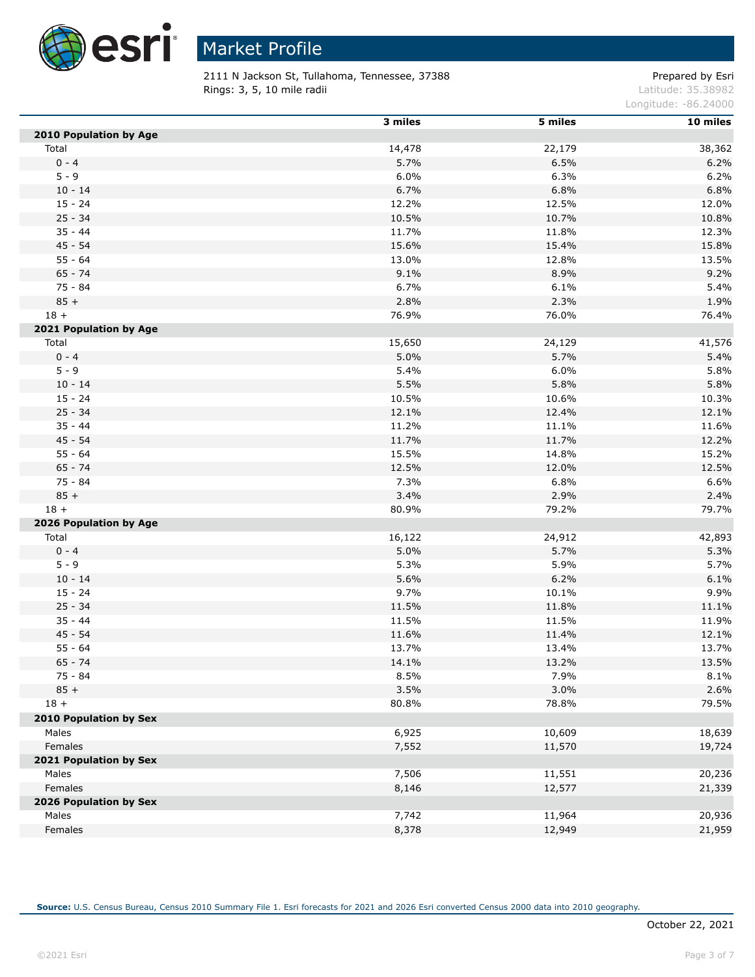

 $\overline{a}$ 

# Market Profile

2111 N Jackson St, Tullahoma, Tennessee, 37388 extending the prepared by Esri **Rings: 3, 5, 10 mile radii**  $\blacksquare$  **Rings: 3, 5, 10 mile radii**  $\blacksquare$ 

Longitude: -86.24000

|                                 | 3 miles | 5 miles | 10 miles |
|---------------------------------|---------|---------|----------|
| 2010 Population by Age          |         |         |          |
| Total                           | 14,478  | 22,179  | 38,362   |
| $0 - 4$                         | 5.7%    | 6.5%    | 6.2%     |
| $5 - 9$                         | 6.0%    | 6.3%    | 6.2%     |
| $10 - 14$                       | 6.7%    | 6.8%    | 6.8%     |
| $15 - 24$                       | 12.2%   | 12.5%   | 12.0%    |
| $25 - 34$                       | 10.5%   | 10.7%   | 10.8%    |
| $35 - 44$                       | 11.7%   | 11.8%   | 12.3%    |
| $45 - 54$                       | 15.6%   | 15.4%   | 15.8%    |
| $55 - 64$                       | 13.0%   | 12.8%   | 13.5%    |
| $65 - 74$                       | 9.1%    | 8.9%    | 9.2%     |
| 75 - 84                         | 6.7%    | 6.1%    | 5.4%     |
| $85 +$                          | 2.8%    | 2.3%    | 1.9%     |
| $18 +$                          | 76.9%   | 76.0%   | 76.4%    |
| 2021 Population by Age          |         |         |          |
| Total                           | 15,650  | 24,129  | 41,576   |
| $0 - 4$                         | 5.0%    | 5.7%    | 5.4%     |
| $5 - 9$                         | 5.4%    | 6.0%    | 5.8%     |
| $10 - 14$                       | 5.5%    | 5.8%    | 5.8%     |
| $15 - 24$                       | 10.5%   | 10.6%   | 10.3%    |
| $25 - 34$                       | 12.1%   | 12.4%   | 12.1%    |
| $35 - 44$                       | 11.2%   | 11.1%   | 11.6%    |
| $45 - 54$                       | 11.7%   | 11.7%   | 12.2%    |
| $55 - 64$                       | 15.5%   | 14.8%   | 15.2%    |
| $65 - 74$                       | 12.5%   | 12.0%   | 12.5%    |
| 75 - 84                         | 7.3%    | 6.8%    | 6.6%     |
| $85 +$                          | 3.4%    | 2.9%    | 2.4%     |
| $18 +$                          | 80.9%   | 79.2%   | 79.7%    |
| 2026 Population by Age          |         |         |          |
| Total                           | 16,122  | 24,912  | 42,893   |
| $0 - 4$                         | 5.0%    | 5.7%    | 5.3%     |
| $5 - 9$                         | 5.3%    | 5.9%    | 5.7%     |
| $10 - 14$                       | 5.6%    | 6.2%    | 6.1%     |
| $15 - 24$                       | 9.7%    | 10.1%   | 9.9%     |
| $25 - 34$                       | 11.5%   | 11.8%   | 11.1%    |
| $35 - 44$                       | 11.5%   | 11.5%   | 11.9%    |
| $45 - 54$                       | 11.6%   | 11.4%   | 12.1%    |
| $55 - 64$                       | 13.7%   | 13.4%   | 13.7%    |
| $65 - 74$                       | 14.1%   | 13.2%   | 13.5%    |
| 75 - 84                         | 8.5%    | 7.9%    | 8.1%     |
| $85 +$                          | 3.5%    | 3.0%    | 2.6%     |
| $18 +$                          | 80.8%   | 78.8%   | 79.5%    |
| 2010 Population by Sex          |         |         |          |
| Males                           | 6,925   | 10,609  | 18,639   |
| Females                         |         | 11,570  | 19,724   |
| 2021 Population by Sex          | 7,552   |         |          |
|                                 | 7,506   |         |          |
| Males<br>Females                |         | 11,551  | 20,236   |
|                                 | 8,146   | 12,577  | 21,339   |
| 2026 Population by Sex<br>Males | 7,742   | 11,964  | 20,936   |
|                                 |         |         |          |
| Females                         | 8,378   | 12,949  | 21,959   |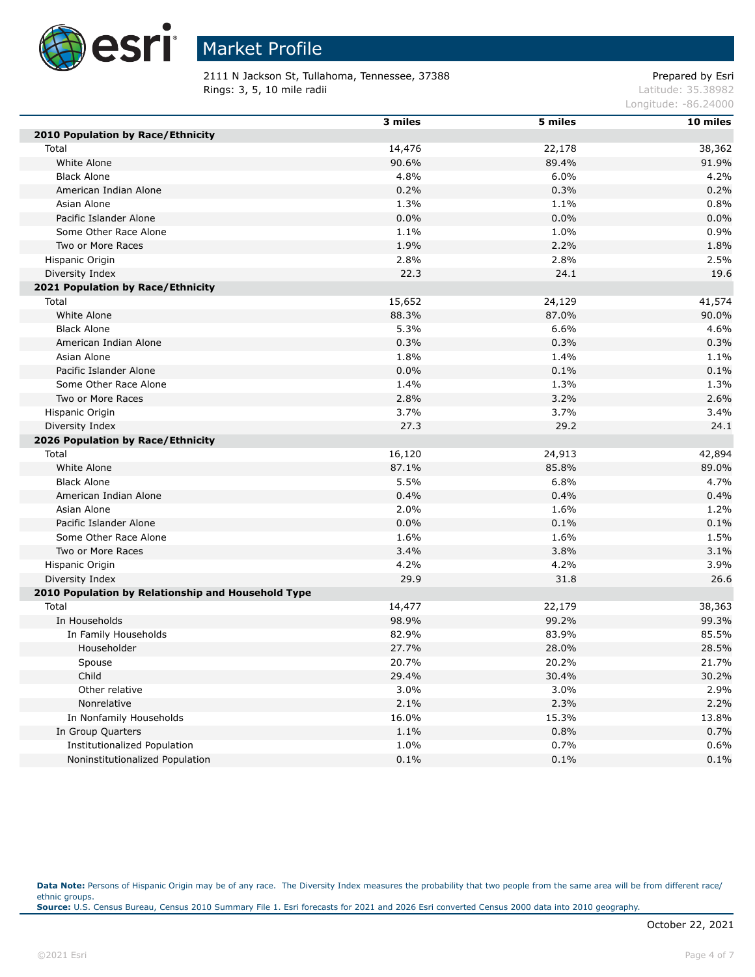

2111 N Jackson St, Tullahoma, Tennessee, 37388 extending the prepared by Esri **Rings: 3, 5, 10 mile radii**  $\blacksquare$  **Rings: 3, 5, 10 mile radii**  $\blacksquare$ 

Longitude: -86.24000

|                                                    | 3 miles | 5 miles | 10 miles |
|----------------------------------------------------|---------|---------|----------|
| 2010 Population by Race/Ethnicity                  |         |         |          |
| Total                                              | 14,476  | 22,178  | 38,362   |
| White Alone                                        | 90.6%   | 89.4%   | 91.9%    |
| <b>Black Alone</b>                                 | 4.8%    | 6.0%    | 4.2%     |
| American Indian Alone                              | 0.2%    | 0.3%    | 0.2%     |
| Asian Alone                                        | 1.3%    | 1.1%    | 0.8%     |
| Pacific Islander Alone                             | 0.0%    | 0.0%    | 0.0%     |
| Some Other Race Alone                              | 1.1%    | 1.0%    | 0.9%     |
| Two or More Races                                  | 1.9%    | 2.2%    | 1.8%     |
| Hispanic Origin                                    | 2.8%    | 2.8%    | 2.5%     |
| Diversity Index                                    | 22.3    | 24.1    | 19.6     |
| 2021 Population by Race/Ethnicity                  |         |         |          |
| Total                                              | 15,652  | 24,129  | 41,574   |
| White Alone                                        | 88.3%   | 87.0%   | 90.0%    |
| <b>Black Alone</b>                                 | 5.3%    | 6.6%    | 4.6%     |
| American Indian Alone                              | 0.3%    | 0.3%    | 0.3%     |
| Asian Alone                                        | 1.8%    | 1.4%    | 1.1%     |
| Pacific Islander Alone                             | 0.0%    | 0.1%    | 0.1%     |
| Some Other Race Alone                              | 1.4%    | 1.3%    | 1.3%     |
| Two or More Races                                  | 2.8%    | 3.2%    | 2.6%     |
| Hispanic Origin                                    | 3.7%    | 3.7%    | 3.4%     |
| Diversity Index                                    | 27.3    | 29.2    | 24.1     |
| 2026 Population by Race/Ethnicity                  |         |         |          |
| Total                                              | 16,120  | 24,913  | 42,894   |
| White Alone                                        | 87.1%   | 85.8%   | 89.0%    |
| <b>Black Alone</b>                                 | 5.5%    | 6.8%    | 4.7%     |
| American Indian Alone                              | 0.4%    | 0.4%    | 0.4%     |
| Asian Alone                                        | 2.0%    | 1.6%    | 1.2%     |
| Pacific Islander Alone                             | 0.0%    | 0.1%    | 0.1%     |
| Some Other Race Alone                              | 1.6%    | 1.6%    | 1.5%     |
| Two or More Races                                  | 3.4%    | 3.8%    | 3.1%     |
| Hispanic Origin                                    | 4.2%    | 4.2%    | 3.9%     |
| Diversity Index                                    | 29.9    | 31.8    | 26.6     |
| 2010 Population by Relationship and Household Type |         |         |          |
| Total                                              | 14,477  | 22,179  | 38,363   |
| In Households                                      | 98.9%   | 99.2%   | 99.3%    |
| In Family Households                               | 82.9%   | 83.9%   | 85.5%    |
| Householder                                        | 27.7%   | 28.0%   | 28.5%    |
| Spouse                                             | 20.7%   | 20.2%   | 21.7%    |
| Child                                              | 29.4%   | 30.4%   | 30.2%    |
| Other relative                                     | 3.0%    | 3.0%    | 2.9%     |
| Nonrelative                                        | 2.1%    | 2.3%    | 2.2%     |
| In Nonfamily Households                            | 16.0%   | 15.3%   | 13.8%    |
| In Group Quarters                                  | 1.1%    | 0.8%    | 0.7%     |
| Institutionalized Population                       | 1.0%    | 0.7%    | 0.6%     |
| Noninstitutionalized Population                    | 0.1%    | 0.1%    | 0.1%     |

Data Note: Persons of Hispanic Origin may be of any race. The Diversity Index measures the probability that two people from the same area will be from different race/ ethnic groups. **Source:** U.S. Census Bureau, Census 2010 Summary File 1. Esri forecasts for 2021 and 2026 Esri converted Census 2000 data into 2010 geography.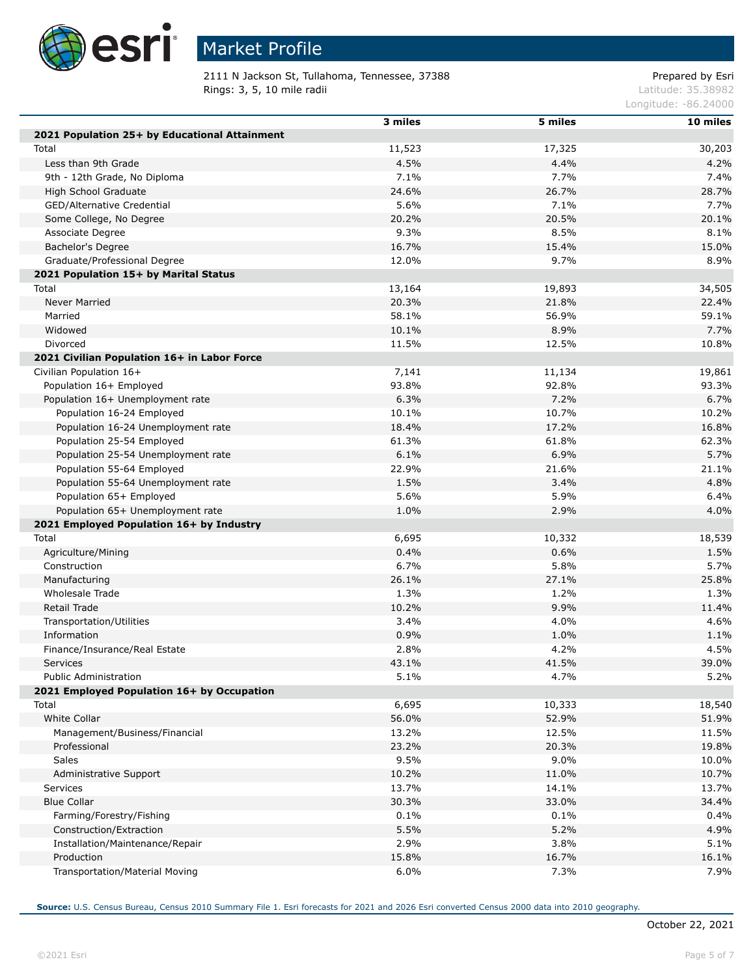

2111 N Jackson St, Tullahoma, Tennessee, 37388 Prepared by Esri<br>Rings: 3, 5, 10 mile radii and a Rings: 3, 5, 10 mile radii Rings: 3, 5, 10 mile radii

Longitude: -86.24000

|                                               | 3 miles       | 5 miles | 10 miles      |
|-----------------------------------------------|---------------|---------|---------------|
| 2021 Population 25+ by Educational Attainment |               |         |               |
| Total                                         | 11,523        | 17,325  | 30,203        |
| Less than 9th Grade                           | 4.5%          | 4.4%    | 4.2%          |
| 9th - 12th Grade, No Diploma                  | 7.1%          | 7.7%    | 7.4%          |
| High School Graduate                          | 24.6%         | 26.7%   | 28.7%         |
|                                               |               | 7.1%    |               |
| GED/Alternative Credential                    | 5.6%          |         | 7.7%          |
| Some College, No Degree                       | 20.2%         | 20.5%   | 20.1%<br>8.1% |
| Associate Degree                              | 9.3%<br>16.7% | 8.5%    |               |
| Bachelor's Degree                             |               | 15.4%   | 15.0%         |
| Graduate/Professional Degree                  | 12.0%         | 9.7%    | 8.9%          |
| 2021 Population 15+ by Marital Status         |               |         |               |
| Total                                         | 13,164        | 19,893  | 34,505        |
| Never Married                                 | 20.3%         | 21.8%   | 22.4%         |
| Married                                       | 58.1%         | 56.9%   | 59.1%         |
| Widowed                                       | 10.1%         | 8.9%    | 7.7%          |
| Divorced                                      | 11.5%         | 12.5%   | 10.8%         |
| 2021 Civilian Population 16+ in Labor Force   |               |         |               |
| Civilian Population 16+                       | 7,141         | 11,134  | 19,861        |
| Population 16+ Employed                       | 93.8%         | 92.8%   | 93.3%         |
| Population 16+ Unemployment rate              | 6.3%          | 7.2%    | 6.7%          |
| Population 16-24 Employed                     | 10.1%         | 10.7%   | 10.2%         |
| Population 16-24 Unemployment rate            | 18.4%         | 17.2%   | 16.8%         |
| Population 25-54 Employed                     | 61.3%         | 61.8%   | 62.3%         |
| Population 25-54 Unemployment rate            | 6.1%          | 6.9%    | 5.7%          |
| Population 55-64 Employed                     | 22.9%         | 21.6%   | 21.1%         |
| Population 55-64 Unemployment rate            | 1.5%          | 3.4%    | 4.8%          |
| Population 65+ Employed                       | 5.6%          | 5.9%    | 6.4%          |
| Population 65+ Unemployment rate              | 1.0%          | 2.9%    | 4.0%          |
| 2021 Employed Population 16+ by Industry      |               |         |               |
| Total                                         | 6,695         | 10,332  | 18,539        |
| Agriculture/Mining                            | 0.4%          | 0.6%    | 1.5%          |
| Construction                                  | 6.7%          | 5.8%    | 5.7%          |
| Manufacturing                                 | 26.1%         | 27.1%   | 25.8%         |
| Wholesale Trade                               | 1.3%          | 1.2%    | 1.3%          |
| Retail Trade                                  | 10.2%         | 9.9%    | 11.4%         |
| Transportation/Utilities                      | 3.4%          | 4.0%    | 4.6%          |
| Information                                   | 0.9%          | 1.0%    | 1.1%          |
| Finance/Insurance/Real Estate                 | 2.8%          | 4.2%    | 4.5%          |
| Services                                      | 43.1%         | 41.5%   | 39.0%         |
| <b>Public Administration</b>                  | 5.1%          | 4.7%    | 5.2%          |
| 2021 Employed Population 16+ by Occupation    |               |         |               |
| Total                                         | 6,695         | 10,333  | 18,540        |
| <b>White Collar</b>                           | 56.0%         | 52.9%   | 51.9%         |
| Management/Business/Financial                 | 13.2%         | 12.5%   | 11.5%         |
| Professional                                  | 23.2%         | 20.3%   | 19.8%         |
| <b>Sales</b>                                  | 9.5%          | 9.0%    | 10.0%         |
| Administrative Support                        | 10.2%         | 11.0%   | 10.7%         |
| Services                                      | 13.7%         | 14.1%   | 13.7%         |
| <b>Blue Collar</b>                            |               |         |               |
|                                               | 30.3%         | 33.0%   | 34.4%         |
| Farming/Forestry/Fishing                      | 0.1%          | 0.1%    | 0.4%          |
| Construction/Extraction                       | 5.5%          | 5.2%    | 4.9%          |
| Installation/Maintenance/Repair               | 2.9%          | 3.8%    | 5.1%          |
| Production                                    | 15.8%         | 16.7%   | 16.1%         |
| Transportation/Material Moving                | 6.0%          | 7.3%    | 7.9%          |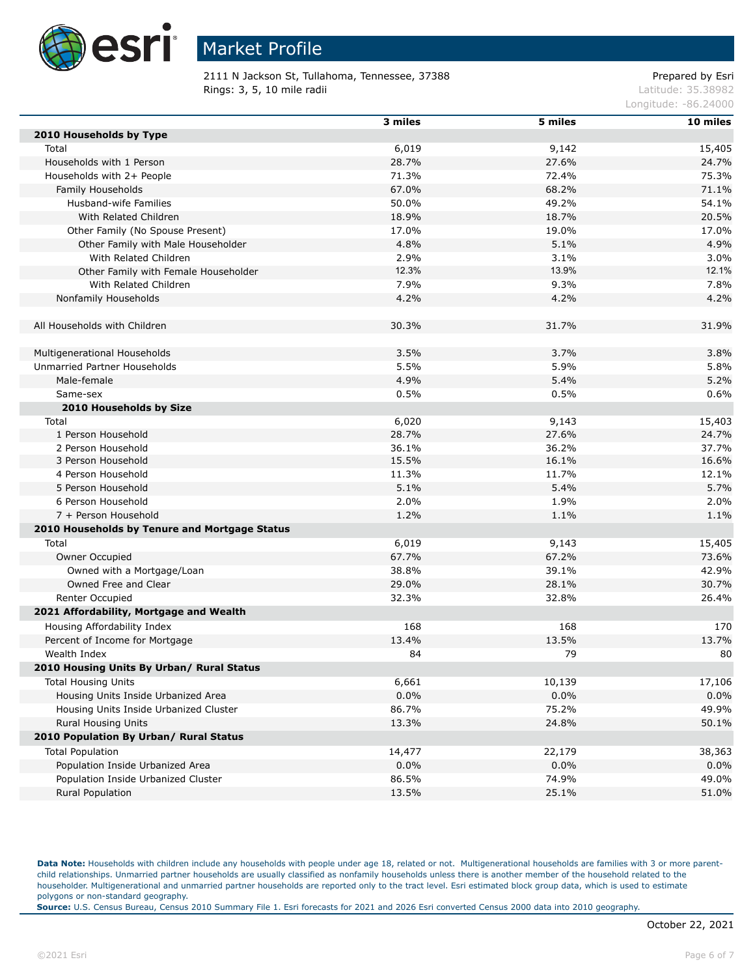

2111 N Jackson St, Tullahoma, Tennessee, 37388 extending the prepared by Esri Rings: 3, 5, 10 mile radii and the contract of the contract of the contract of the contract of the contract of the contract of the contract of the contract of the contract of the contract of the contract of the contract of

Longitude: -86.24000

|                                               | 3 miles | 5 miles | 10 miles |
|-----------------------------------------------|---------|---------|----------|
| 2010 Households by Type                       |         |         |          |
| Total                                         | 6,019   | 9,142   | 15,405   |
| Households with 1 Person                      | 28.7%   | 27.6%   | 24.7%    |
| Households with 2+ People                     | 71.3%   | 72.4%   | 75.3%    |
| Family Households                             | 67.0%   | 68.2%   | 71.1%    |
| Husband-wife Families                         | 50.0%   | 49.2%   | 54.1%    |
| With Related Children                         | 18.9%   | 18.7%   | 20.5%    |
| Other Family (No Spouse Present)              | 17.0%   | 19.0%   | 17.0%    |
| Other Family with Male Householder            | 4.8%    | 5.1%    | 4.9%     |
| With Related Children                         | 2.9%    | 3.1%    | 3.0%     |
| Other Family with Female Householder          | 12.3%   | 13.9%   | 12.1%    |
| With Related Children                         | 7.9%    | 9.3%    | 7.8%     |
| Nonfamily Households                          | 4.2%    | 4.2%    | 4.2%     |
|                                               |         |         |          |
| All Households with Children                  | 30.3%   | 31.7%   | 31.9%    |
|                                               |         |         |          |
| Multigenerational Households                  | 3.5%    | 3.7%    | 3.8%     |
| Unmarried Partner Households                  | 5.5%    | 5.9%    | 5.8%     |
| Male-female                                   | 4.9%    | 5.4%    | 5.2%     |
| Same-sex                                      | 0.5%    | 0.5%    | 0.6%     |
| 2010 Households by Size                       |         |         |          |
| Total                                         | 6,020   | 9,143   | 15,403   |
| 1 Person Household                            | 28.7%   | 27.6%   | 24.7%    |
| 2 Person Household                            | 36.1%   | 36.2%   | 37.7%    |
| 3 Person Household                            | 15.5%   | 16.1%   | 16.6%    |
| 4 Person Household                            | 11.3%   | 11.7%   | 12.1%    |
| 5 Person Household                            | 5.1%    | 5.4%    | 5.7%     |
| 6 Person Household                            | 2.0%    | 1.9%    | 2.0%     |
| 7 + Person Household                          | 1.2%    | 1.1%    | 1.1%     |
| 2010 Households by Tenure and Mortgage Status |         |         |          |
| Total                                         | 6,019   | 9,143   | 15,405   |
| Owner Occupied                                | 67.7%   | 67.2%   | 73.6%    |
| Owned with a Mortgage/Loan                    | 38.8%   | 39.1%   | 42.9%    |
| Owned Free and Clear                          | 29.0%   | 28.1%   | 30.7%    |
| Renter Occupied                               | 32.3%   | 32.8%   | 26.4%    |
| 2021 Affordability, Mortgage and Wealth       |         |         |          |
| Housing Affordability Index                   | 168     | 168     | 170      |
| Percent of Income for Mortgage                | 13.4%   | 13.5%   | 13.7%    |
| Wealth Index                                  | 84      | 79      | 80       |
| 2010 Housing Units By Urban/ Rural Status     |         |         |          |
| <b>Total Housing Units</b>                    | 6,661   | 10,139  | 17,106   |
| Housing Units Inside Urbanized Area           | 0.0%    | 0.0%    | 0.0%     |
| Housing Units Inside Urbanized Cluster        | 86.7%   | 75.2%   | 49.9%    |
| <b>Rural Housing Units</b>                    | 13.3%   | 24.8%   | 50.1%    |
| 2010 Population By Urban/ Rural Status        |         |         |          |
| <b>Total Population</b>                       | 14,477  | 22,179  | 38,363   |
| Population Inside Urbanized Area              | 0.0%    | $0.0\%$ | 0.0%     |
| Population Inside Urbanized Cluster           | 86.5%   | 74.9%   | 49.0%    |
| Rural Population                              | 13.5%   | 25.1%   | 51.0%    |
|                                               |         |         |          |

Data Note: Households with children include any households with people under age 18, related or not. Multigenerational households are families with 3 or more parentchild relationships. Unmarried partner households are usually classified as nonfamily households unless there is another member of the household related to the householder. Multigenerational and unmarried partner households are reported only to the tract level. Esri estimated block group data, which is used to estimate polygons or non-standard geography.